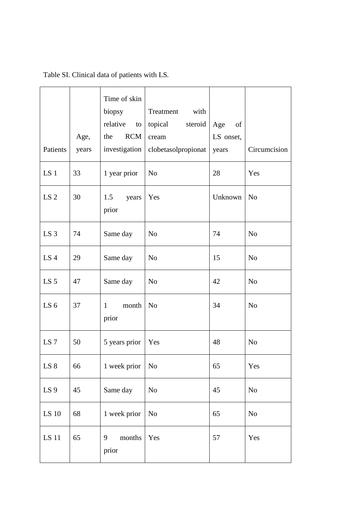| Patients        | Age,<br>years | Time of skin<br>biopsy<br>relative<br>to<br><b>RCM</b><br>the<br>investigation | Treatment<br>with<br>topical<br>steroid<br>cream<br>clobetasolpropionat | Age<br>of<br>LS onset,<br>years | Circumcision   |
|-----------------|---------------|--------------------------------------------------------------------------------|-------------------------------------------------------------------------|---------------------------------|----------------|
| LS <sub>1</sub> | 33            | 1 year prior                                                                   | N <sub>o</sub>                                                          | 28                              | Yes            |
| LS <sub>2</sub> | 30            | 1.5<br>years<br>prior                                                          | Yes                                                                     | Unknown                         | N <sub>o</sub> |
| LS <sub>3</sub> | 74            | Same day                                                                       | N <sub>o</sub>                                                          | 74                              | N <sub>o</sub> |
| LS <sub>4</sub> | 29            | Same day                                                                       | N <sub>o</sub>                                                          | 15                              | N <sub>o</sub> |
| LS <sub>5</sub> | 47            | Same day                                                                       | N <sub>o</sub>                                                          | 42                              | N <sub>o</sub> |
| LS <sub>6</sub> | 37            | month<br>$\mathbf{1}$<br>prior                                                 | N <sub>o</sub>                                                          | 34                              | N <sub>o</sub> |
| LS <sub>7</sub> | 50            | 5 years prior                                                                  | Yes                                                                     | 48                              | N <sub>o</sub> |
| LS 8            | 66            | 1 week prior                                                                   | N <sub>o</sub>                                                          | 65                              | Yes            |
| LS <sub>9</sub> | 45            | Same day                                                                       | No                                                                      | 45                              | N <sub>o</sub> |
| LS 10           | 68            | 1 week prior                                                                   | N <sub>o</sub>                                                          | 65                              | $\rm No$       |
| LS 11           | 65            | months<br>9<br>prior                                                           | Yes                                                                     | 57                              | Yes            |

Table SI. Clinical data of patients with LS.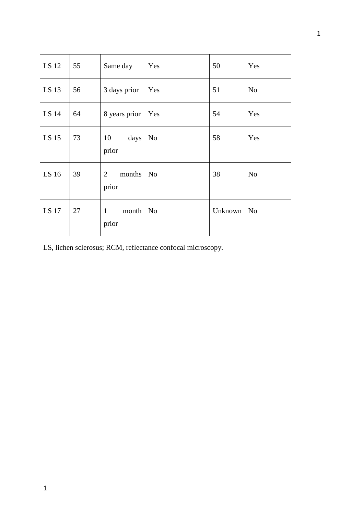| LS 12 | 55 | Same day                                 | Yes            | 50      | Yes            |
|-------|----|------------------------------------------|----------------|---------|----------------|
| LS 13 | 56 | 3 days prior                             | Yes            | 51      | N <sub>o</sub> |
| LS 14 | 64 | 8 years prior                            | <b>Yes</b>     | 54      | Yes            |
| LS 15 | 73 | 10<br>days<br>prior                      | N <sub>o</sub> | 58      | Yes            |
| LS 16 | 39 | months<br>$\overline{2}$<br>prior        | N <sub>0</sub> | 38      | N <sub>o</sub> |
| LS 17 | 27 | $month \mid No$<br>$\mathbf{1}$<br>prior |                | Unknown | N <sub>o</sub> |

LS, lichen sclerosus; RCM, reflectance confocal microscopy.